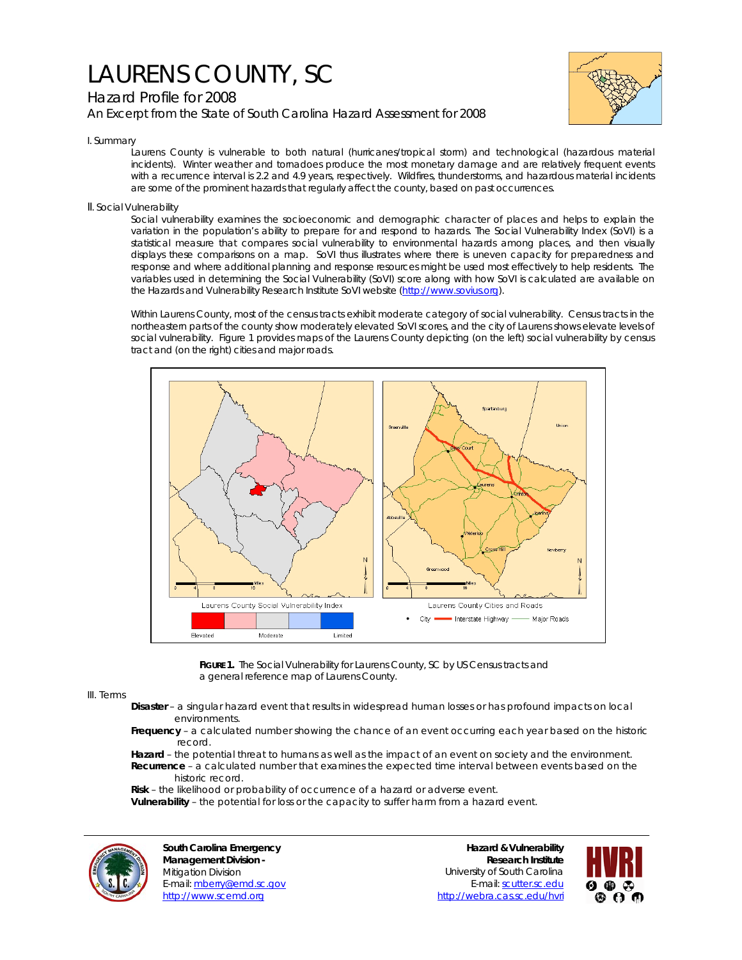# LAURENS COUNTY, SC

# Hazard Profile for 2008

*An Excerpt from the State of South Carolina Hazard Assessment for 2008*



### I. Summary

Laurens County is vulnerable to both natural (hurricanes/tropical storm) and technological (hazardous material incidents). Winter weather and tornadoes produce the most monetary damage and are relatively frequent events with a recurrence interval is 2.2 and 4.9 years, respectively. Wildfires, thunderstorms, and hazardous material incidents are some of the prominent hazards that regularly affect the county, based on past occurrences.

### II. Social Vulnerability

Social vulnerability examines the socioeconomic and demographic character of places and helps to explain the variation in the population's ability to prepare for and respond to hazards. The Social Vulnerability Index (SoVI) is a statistical measure that compares social vulnerability to environmental hazards among places, and then visually displays these comparisons on a map. SoVI thus illustrates where there is uneven capacity for preparedness and response and where additional planning and response resources might be used most effectively to help residents. The variables used in determining the Social Vulnerability (SoVI) score along with how SoVI is calculated are available on the Hazards and Vulnerability Research Institute SoVI website (http://www.sovius.org).

Within Laurens County, most of the census tracts exhibit moderate category of social vulnerability. Census tracts in the northeastern parts of the county show moderately elevated SoVI scores, and the city of Laurens shows elevate levels of social vulnerability. Figure 1 provides maps of the Laurens County depicting (on the left) social vulnerability by census tract and (on the right) cities and major roads.



**FIGURE 1.** The Social Vulnerability for Laurens County, SC by US Census tracts and a general reference map of Laurens County.

#### III. Terms

- **Disaster** a singular hazard event that results in widespread human losses or has profound impacts on local environments.
- **Frequency** a calculated number showing the chance of an event occurring each year based on the historic record.
- **Hazard** the potential threat to humans as well as the impact of an event on society and the environment.  **Recurrence** – a calculated number that examines the expected time interval between events based on the historic record.
- **Risk** the likelihood or probability of occurrence of a hazard or adverse event.

 **Vulnerability** – the potential for loss or the capacity to suffer harm from a hazard event.



**South Carolina Emergency Management Division -**  Mitigation Division E-mail: mberry@emd.sc.gov http://www.scemd.org

**Hazard & Vulnerability Research Institute**  University of South Carolina E-mail: scutter.sc.edu http://webra.cas.sc.edu/hvri

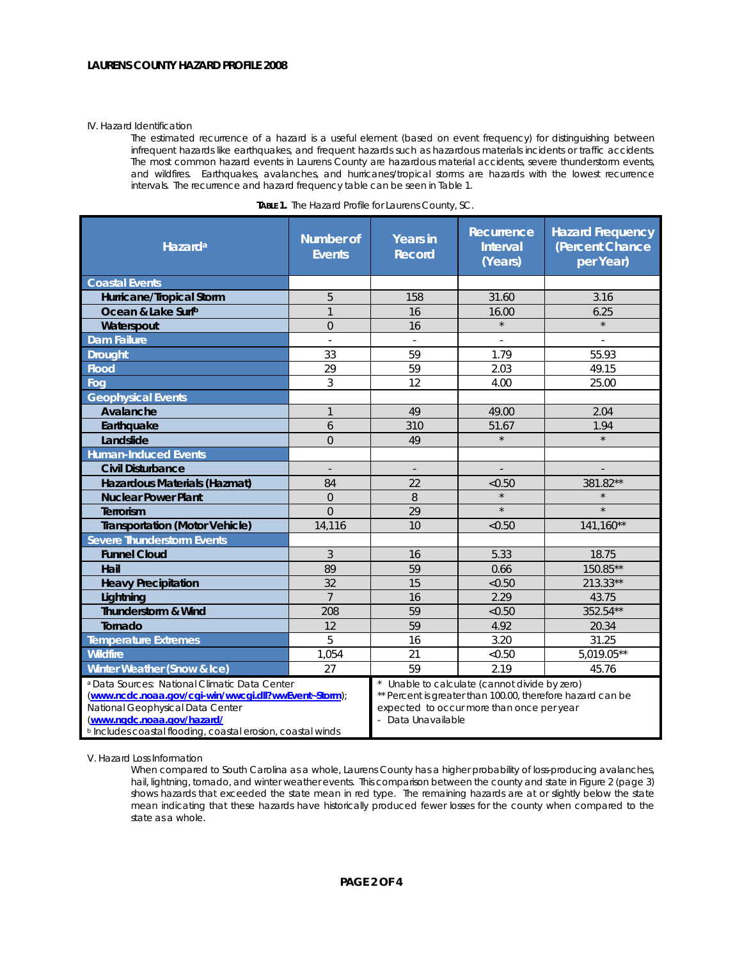#### IV. Hazard Identification

The estimated recurrence of a hazard is a useful element (based on event frequency) for distinguishing between infrequent hazards like earthquakes, and frequent hazards such as hazardous materials incidents or traffic accidents. The most common hazard events in Laurens County are hazardous material accidents, severe thunderstorm events, and wildfires. Earthquakes, avalanches, and hurricanes/tropical storms are hazards with the lowest recurrence intervals. The recurrence and hazard frequency table can be seen in Table 1.

| Hazard <sup>a</sup>                                                                                                                                                                                                                                          | <b>Number of</b><br><b>Events</b> | <b>Years in</b><br><b>Record</b>                                                                                                                                             | Recurrence<br><b>Interval</b><br>(Years) | <b>Hazard Frequency</b><br>(Percent Chance<br>per Year) |
|--------------------------------------------------------------------------------------------------------------------------------------------------------------------------------------------------------------------------------------------------------------|-----------------------------------|------------------------------------------------------------------------------------------------------------------------------------------------------------------------------|------------------------------------------|---------------------------------------------------------|
| <b>Coastal Events</b>                                                                                                                                                                                                                                        |                                   |                                                                                                                                                                              |                                          |                                                         |
| Hurricane/Tropical Storm                                                                                                                                                                                                                                     | 5                                 | 158                                                                                                                                                                          | 31.60                                    | 3.16                                                    |
| Ocean & Lake Surfb                                                                                                                                                                                                                                           | $\mathbf{1}$                      | 16                                                                                                                                                                           | 16.00                                    | 6.25                                                    |
| Waterspout                                                                                                                                                                                                                                                   | $\mathbf 0$                       | 16                                                                                                                                                                           | $\star$                                  | $\star$                                                 |
| <b>Dam Failure</b>                                                                                                                                                                                                                                           | $\sim$                            | $\overline{\phantom{a}}$                                                                                                                                                     | ä,                                       | $\mathbf{r}$                                            |
| <b>Drought</b>                                                                                                                                                                                                                                               | 33                                | 59                                                                                                                                                                           | 1.79                                     | 55.93                                                   |
| <b>Flood</b>                                                                                                                                                                                                                                                 | 29                                | 59                                                                                                                                                                           | 2.03                                     | 49.15                                                   |
| Fog                                                                                                                                                                                                                                                          | 3                                 | 12                                                                                                                                                                           | 4.00                                     | 25.00                                                   |
| <b>Geophysical Events</b>                                                                                                                                                                                                                                    |                                   |                                                                                                                                                                              |                                          |                                                         |
| Avalanche                                                                                                                                                                                                                                                    | $\mathbf{1}$                      | 49                                                                                                                                                                           | 49.00                                    | 2.04                                                    |
| Earthquake                                                                                                                                                                                                                                                   | 6                                 | 310                                                                                                                                                                          | 51.67                                    | 1.94                                                    |
| Landslide                                                                                                                                                                                                                                                    | $\overline{0}$                    | 49                                                                                                                                                                           | $\star$                                  | $\star$                                                 |
| <b>Human-Induced Events</b>                                                                                                                                                                                                                                  |                                   |                                                                                                                                                                              |                                          |                                                         |
| <b>Civil Disturbance</b>                                                                                                                                                                                                                                     | $\overline{\phantom{a}}$          | $\overline{\phantom{a}}$                                                                                                                                                     |                                          |                                                         |
| Hazardous Materials (Hazmat)                                                                                                                                                                                                                                 | 84                                | 22                                                                                                                                                                           | < 0.50                                   | 381.82**                                                |
| <b>Nuclear Power Plant</b>                                                                                                                                                                                                                                   | $\overline{0}$                    | 8                                                                                                                                                                            |                                          |                                                         |
| Terrorism                                                                                                                                                                                                                                                    | $\Omega$                          | 29                                                                                                                                                                           | $\star$                                  | $\star$                                                 |
| <b>Transportation (Motor Vehicle)</b>                                                                                                                                                                                                                        | 14,116                            | 10                                                                                                                                                                           | < 0.50                                   | 141.160**                                               |
| <b>Severe Thunderstorm Events</b>                                                                                                                                                                                                                            |                                   |                                                                                                                                                                              |                                          |                                                         |
| <b>Funnel Cloud</b>                                                                                                                                                                                                                                          | 3                                 | 16                                                                                                                                                                           | 5.33                                     | 18.75                                                   |
| Hail                                                                                                                                                                                                                                                         | 89                                | 59                                                                                                                                                                           | 0.66                                     | 150.85**                                                |
| <b>Heavy Precipitation</b>                                                                                                                                                                                                                                   | 32                                | 15                                                                                                                                                                           | < 0.50                                   | 213.33**                                                |
| Lightning                                                                                                                                                                                                                                                    | $\overline{7}$                    | 16                                                                                                                                                                           | 2.29                                     | 43.75                                                   |
| Thunderstorm & Wind                                                                                                                                                                                                                                          | 208                               | 59                                                                                                                                                                           | < 0.50                                   | 352.54**                                                |
| Tornado                                                                                                                                                                                                                                                      | 12                                | 59                                                                                                                                                                           | 4.92                                     | 20.34                                                   |
| <b>Temperature Extremes</b>                                                                                                                                                                                                                                  | 5                                 | 16                                                                                                                                                                           | 3.20                                     | 31.25                                                   |
| <b>Wildfire</b>                                                                                                                                                                                                                                              | 1,054                             | 21                                                                                                                                                                           | < 0.50                                   | $5,019.05**$                                            |
| Winter Weather (Snow & Ice)                                                                                                                                                                                                                                  | 27                                | 59                                                                                                                                                                           | 2.19                                     | 45.76                                                   |
| <sup>a</sup> Data Sources: National Climatic Data Center<br>(www.ncdc.noaa.gov/cgi-win/wwcgi.dll?wwEvent~Storm);<br>National Geophysical Data Center<br>(www.ngdc.noaa.gov/hazard/<br><sup>b</sup> Includes coastal flooding, coastal erosion, coastal winds |                                   | Unable to calculate (cannot divide by zero)<br>** Percent is greater than 100.00, therefore hazard can be<br>expected to occur more than once per year<br>- Data Unavailable |                                          |                                                         |

|  |  | TABLE 1. The Hazard Profile for Laurens County, SC. |
|--|--|-----------------------------------------------------|

V. Hazard Loss Information

When compared to South Carolina as a whole, Laurens County has a higher probability of loss-producing avalanches, hail, lightning, tornado, and winter weather events. This comparison between the county and state in Figure 2 (page 3) shows hazards that exceeded the state mean in red type. The remaining hazards are at or slightly below the state mean indicating that these hazards have historically produced fewer losses for the county when compared to the state as a whole.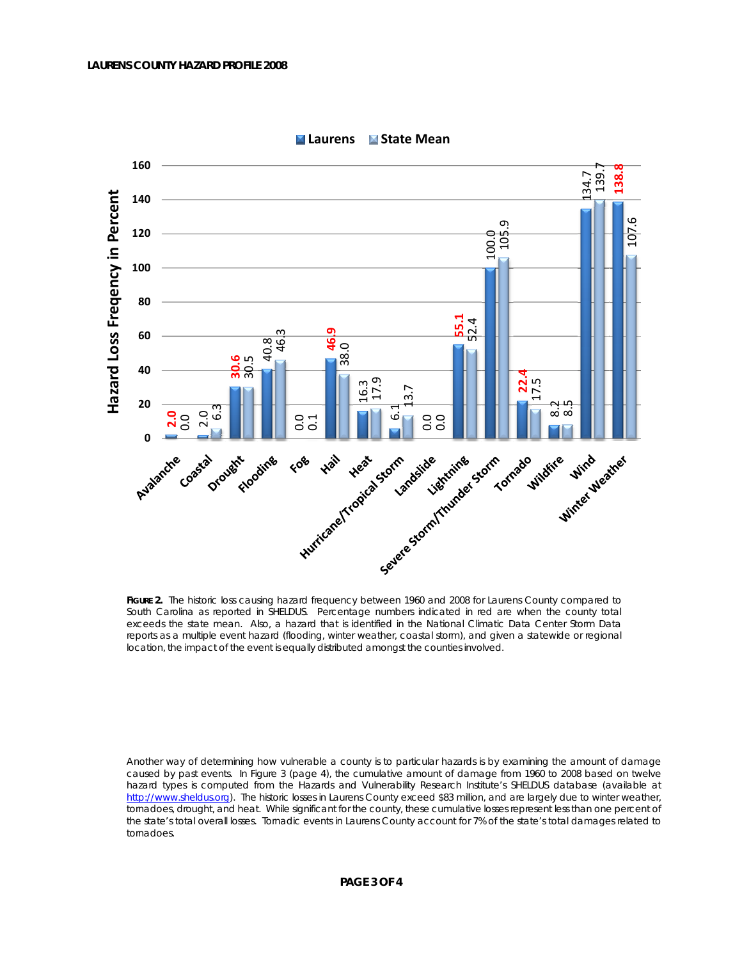

**Laurens State Mean**

Another way of determining how vulnerable a county is to particular hazards is by examining the amount of damage caused by past events. In Figure 3 (page 4), the cumulative amount of damage from 1960 to 2008 based on twelve hazard types is computed from the Hazards and Vulnerability Research Institute's SHELDUS database (available at http://www.sheldus.org). The historic losses in Laurens County exceed \$83 million, and are largely due to winter weather, tornadoes, drought, and heat. While significant for the county, these cumulative losses represent less than one percent of the state's total overall losses. Tornadic events in Laurens County account for 7% of the state's total damages related to tornadoes.

**FIGURE 2.** The historic loss causing hazard frequency between 1960 and 2008 for Laurens County compared to South Carolina as reported in SHELDUS. Percentage numbers indicated in red are when the county total exceeds the state mean. Also, a hazard that is identified in the National Climatic Data Center Storm Data reports as a multiple event hazard (flooding, winter weather, coastal storm), and given a statewide or regional location, the impact of the event is equally distributed amongst the counties involved.